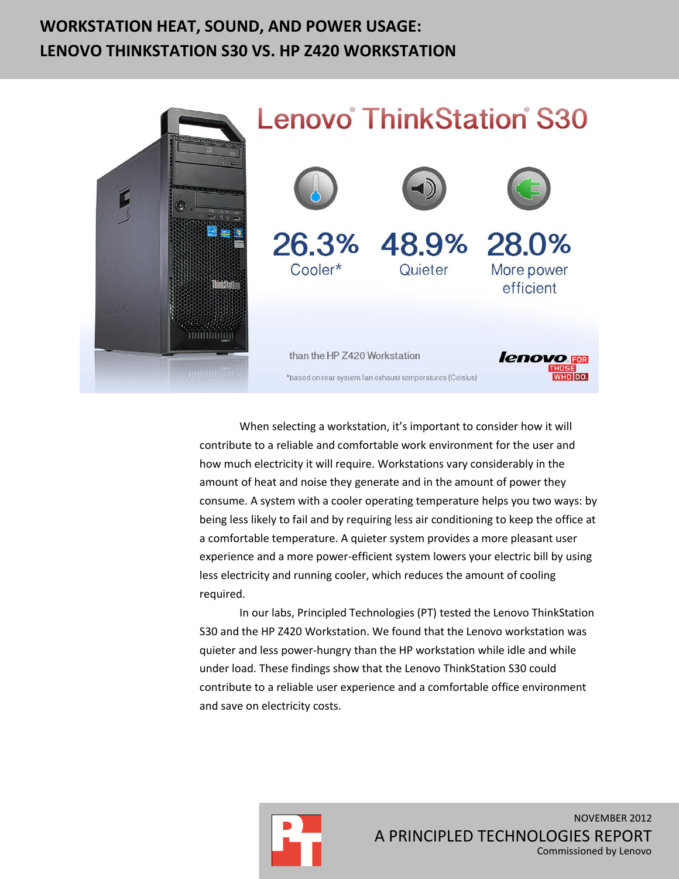# **WORKSTATION HEAT, SOUND, AND POWER USAGE: LENOVO THINKSTATION S30 VS. HP Z420 WORKSTATION**



When selecting a workstation, it's important to consider how it will contribute to a reliable and comfortable work environment for the user and how much electricity it will require. Workstations vary considerably in the amount of heat and noise they generate and in the amount of power they consume. A system with a cooler operating temperature helps you two ways: by being less likely to fail and by requiring less air conditioning to keep the office at a comfortable temperature. A quieter system provides a more pleasant user experience and a more power-efficient system lowers your electric bill by using less electricity and running cooler, which reduces the amount of cooling required.

In our labs, Principled Technologies (PT) tested the Lenovo ThinkStation S30 and the HP Z420 Workstation. We found that the Lenovo workstation was quieter and less power-hungry than the HP workstation while idle and while under load. These findings show that the Lenovo ThinkStation S30 could contribute to a reliable user experience and a comfortable office environment and save on electricity costs.

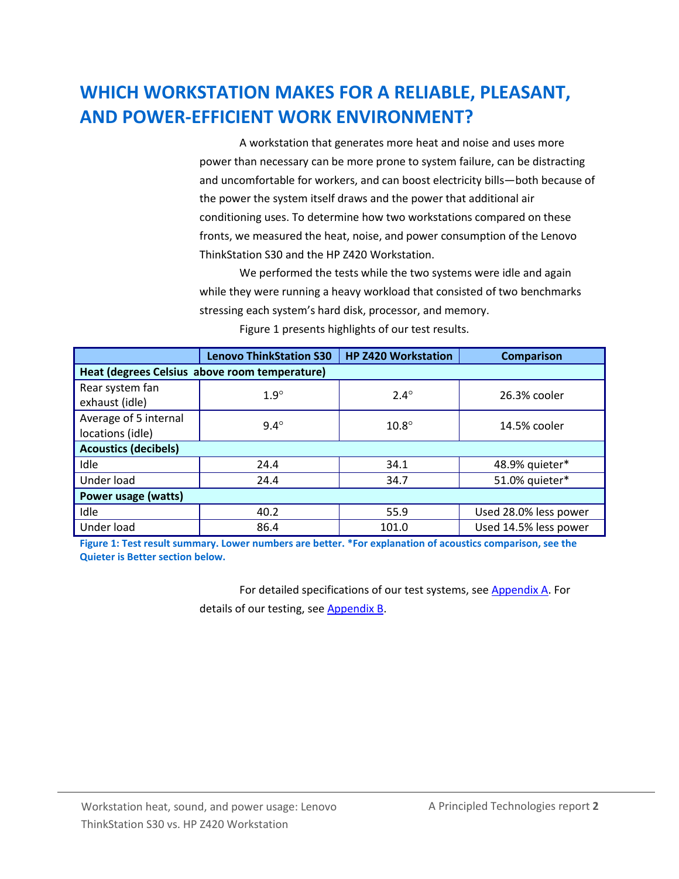# **WHICH WORKSTATION MAKES FOR A RELIABLE, PLEASANT, AND POWER-EFFICIENT WORK ENVIRONMENT?**

A workstation that generates more heat and noise and uses more power than necessary can be more prone to system failure, can be distracting and uncomfortable for workers, and can boost electricity bills—both because of the power the system itself draws and the power that additional air conditioning uses. To determine how two workstations compared on these fronts, we measured the heat, noise, and power consumption of the Lenovo ThinkStation S30 and the HP Z420 Workstation.

We performed the tests while the two systems were idle and again while they were running a heavy workload that consisted of two benchmarks stressing each system's hard disk, processor, and memory.

|                                               | <b>Lenovo ThinkStation S30</b> | <b>HP Z420 Workstation</b> | <b>Comparison</b>     |  |  |
|-----------------------------------------------|--------------------------------|----------------------------|-----------------------|--|--|
| Heat (degrees Celsius above room temperature) |                                |                            |                       |  |  |
| Rear system fan<br>exhaust (idle)             | $1.9^\circ$                    | $2.4^\circ$                | 26.3% cooler          |  |  |
| Average of 5 internal<br>locations (idle)     | $9.4^\circ$                    | $10.8^\circ$               | 14.5% cooler          |  |  |
| <b>Acoustics (decibels)</b>                   |                                |                            |                       |  |  |
| Idle                                          | 24.4                           | 34.1                       | 48.9% quieter*        |  |  |
| Under load                                    | 24.4                           | 34.7                       | 51.0% quieter*        |  |  |
| Power usage (watts)                           |                                |                            |                       |  |  |
| Idle                                          | 40.2                           | 55.9                       | Used 28.0% less power |  |  |
| Under load                                    | 86.4                           | 101.0                      | Used 14.5% less power |  |  |

Figure 1 presents highlights of our test results.

**Figure 1: Test result summary. Lower numbers are better. \*For explanation of acoustics comparison, see the Quieter is Better section below.**

> For detailed specifications of our test systems, see [Appendix A.](#page-5-0) For details of our testing, see [Appendix B.](#page-8-0)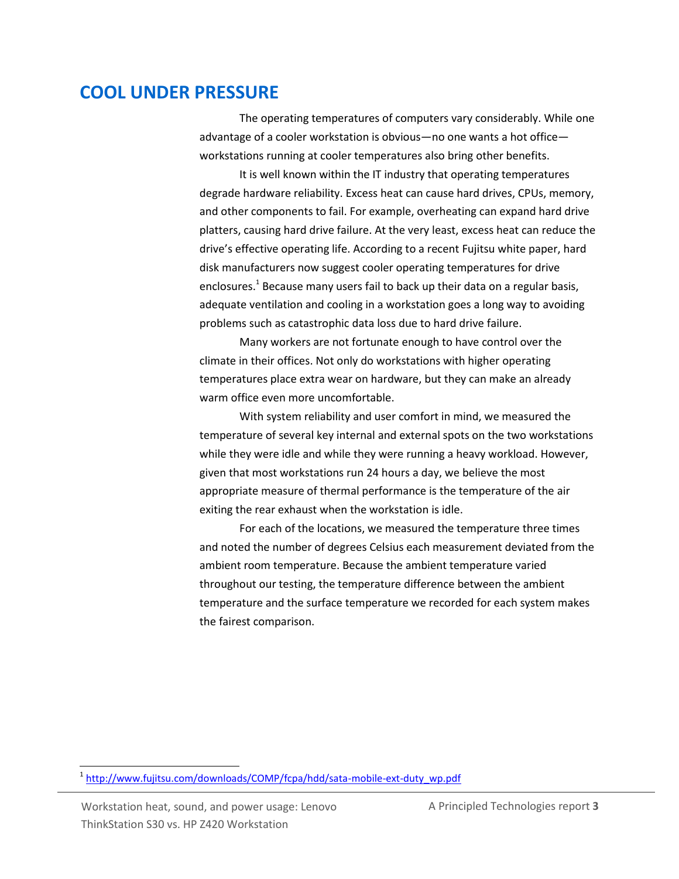### **COOL UNDER PRESSURE**

The operating temperatures of computers vary considerably. While one advantage of a cooler workstation is obvious—no one wants a hot office workstations running at cooler temperatures also bring other benefits.

It is well known within the IT industry that operating temperatures degrade hardware reliability. Excess heat can cause hard drives, CPUs, memory, and other components to fail. For example, overheating can expand hard drive platters, causing hard drive failure. At the very least, excess heat can reduce the drive's effective operating life. According to a recent Fujitsu white paper, hard disk manufacturers now suggest cooler operating temperatures for drive enclosures.<sup>1</sup> Because many users fail to back up their data on a regular basis, adequate ventilation and cooling in a workstation goes a long way to avoiding problems such as catastrophic data loss due to hard drive failure.

Many workers are not fortunate enough to have control over the climate in their offices. Not only do workstations with higher operating temperatures place extra wear on hardware, but they can make an already warm office even more uncomfortable.

With system reliability and user comfort in mind, we measured the temperature of several key internal and external spots on the two workstations while they were idle and while they were running a heavy workload. However, given that most workstations run 24 hours a day, we believe the most appropriate measure of thermal performance is the temperature of the air exiting the rear exhaust when the workstation is idle.

For each of the locations, we measured the temperature three times and noted the number of degrees Celsius each measurement deviated from the ambient room temperature. Because the ambient temperature varied throughout our testing, the temperature difference between the ambient temperature and the surface temperature we recorded for each system makes the fairest comparison.

<sup>&</sup>lt;sup>1</sup> [http://www.fujitsu.com/downloads/COMP/fcpa/hdd/sata-mobile-ext-duty\\_wp.pdf](http://www.fujitsu.com/downloads/COMP/fcpa/hdd/sata-mobile-ext-duty_wp.pdf)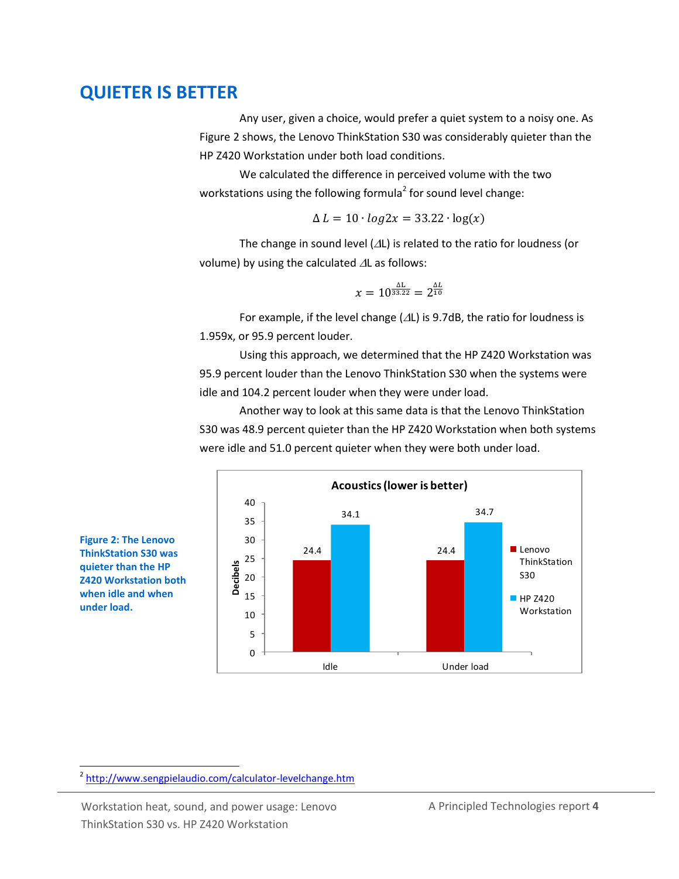### **QUIETER IS BETTER**

Any user, given a choice, would prefer a quiet system to a noisy one. As Figure 2 shows, the Lenovo ThinkStation S30 was considerably quieter than the HP Z420 Workstation under both load conditions.

We calculated the difference in perceived volume with the two workstations using the following formula<sup>2</sup> for sound level change:

$$
\Delta L = 10 \cdot \log 2x = 33.22 \cdot \log(x)
$$

The change in sound level  $(\Delta L)$  is related to the ratio for loudness (or volume) by using the calculated  $\Delta L$  as follows:

$$
x=10^{\frac{\Delta L}{33.22}}=2^{\frac{\Delta L}{10}}
$$

For example, if the level change ( $\Delta L$ ) is 9.7dB, the ratio for loudness is 1.959x, or 95.9 percent louder.

Using this approach, we determined that the HP Z420 Workstation was 95.9 percent louder than the Lenovo ThinkStation S30 when the systems were idle and 104.2 percent louder when they were under load.

Another way to look at this same data is that the Lenovo ThinkStation S30 was 48.9 percent quieter than the HP Z420 Workstation when both systems were idle and 51.0 percent quieter when they were both under load.



**Figure 2: The Lenovo ThinkStation S30 was quieter than the HP Z420 Workstation both when idle and when under load.**

 $\overline{a}$ 

<sup>&</sup>lt;sup>2</sup> <http://www.sengpielaudio.com/calculator-levelchange.htm>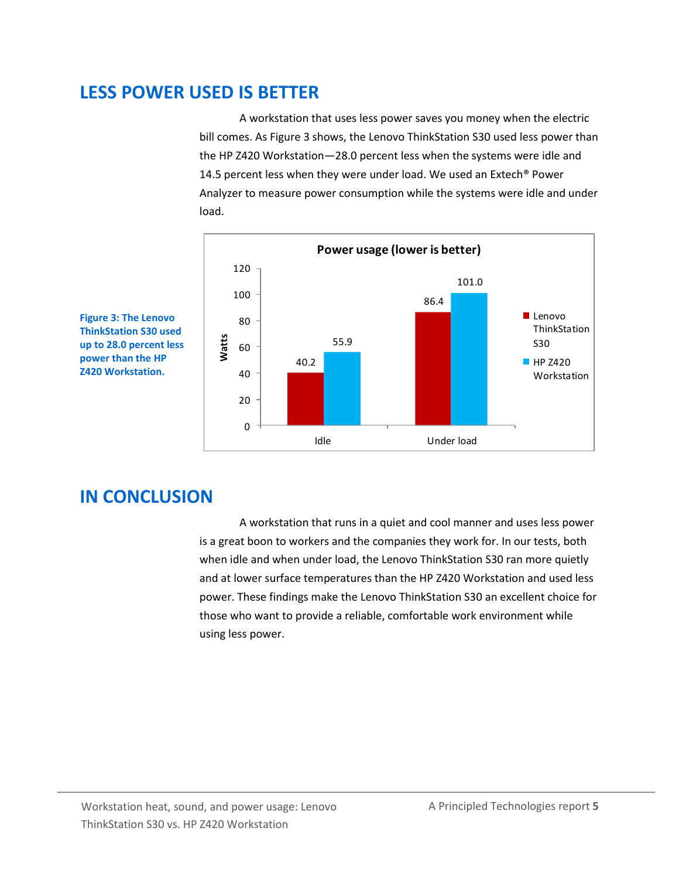### **LESS POWER USED IS BETTER**

A workstation that uses less power saves you money when the electric bill comes. As Figure 3 shows, the Lenovo ThinkStation S30 used less power than the HP Z420 Workstation—28.0 percent less when the systems were idle and 14.5 percent less when they were under load. We used an Extech® Power Analyzer to measure power consumption while the systems were idle and under load.



**Figure 3: The Lenovo ThinkStation S30 used up to 28.0 percent less power than the HP Z420 Workstation.**

## **IN CONCLUSION**

A workstation that runs in a quiet and cool manner and uses less power is a great boon to workers and the companies they work for. In our tests, both when idle and when under load, the Lenovo ThinkStation S30 ran more quietly and at lower surface temperatures than the HP Z420 Workstation and used less power. These findings make the Lenovo ThinkStation S30 an excellent choice for those who want to provide a reliable, comfortable work environment while using less power.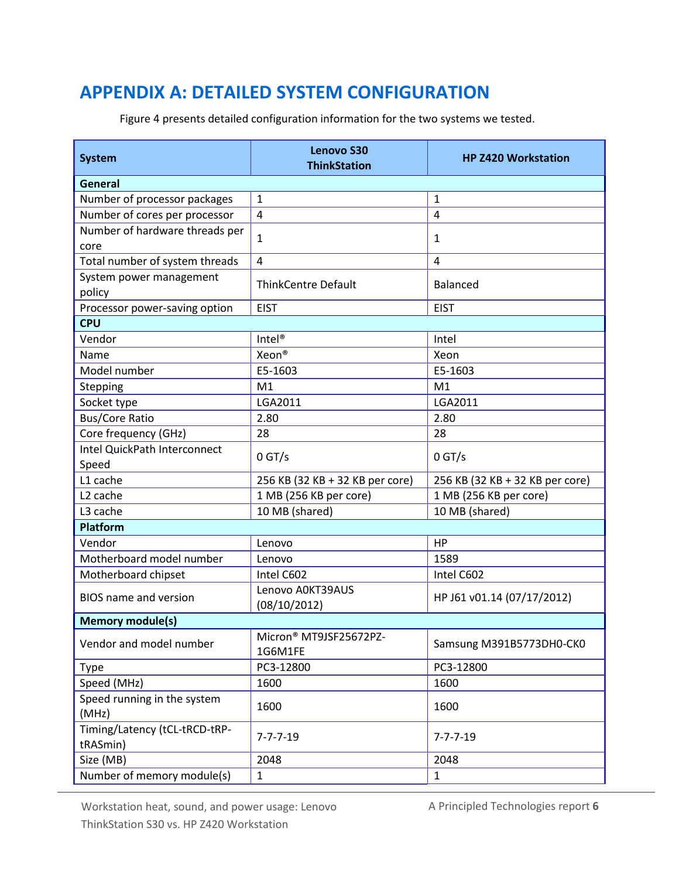## <span id="page-5-0"></span>**APPENDIX A: DETAILED SYSTEM CONFIGURATION**

Figure 4 presents detailed configuration information for the two systems we tested.

| <b>System</b>                             | <b>Lenovo S30</b><br><b>ThinkStation</b> | <b>HP Z420 Workstation</b>      |  |  |  |
|-------------------------------------------|------------------------------------------|---------------------------------|--|--|--|
| <b>General</b>                            |                                          |                                 |  |  |  |
| Number of processor packages              | $\mathbf{1}$                             | $\mathbf{1}$                    |  |  |  |
| Number of cores per processor             | $\overline{\mathbf{4}}$                  | $\overline{4}$                  |  |  |  |
| Number of hardware threads per<br>core    | $\mathbf{1}$                             | 1                               |  |  |  |
| Total number of system threads            | 4                                        | 4                               |  |  |  |
| System power management<br>policy         | <b>ThinkCentre Default</b>               | <b>Balanced</b>                 |  |  |  |
| Processor power-saving option             | <b>EIST</b>                              | <b>EIST</b>                     |  |  |  |
| <b>CPU</b>                                |                                          |                                 |  |  |  |
| Vendor                                    | Intel <sup>®</sup>                       | Intel                           |  |  |  |
| Name                                      | Xeon <sup>®</sup>                        | Xeon                            |  |  |  |
| Model number                              | E5-1603                                  | E5-1603                         |  |  |  |
| Stepping                                  | M1                                       | M1                              |  |  |  |
| Socket type                               | LGA2011                                  | LGA2011                         |  |  |  |
| <b>Bus/Core Ratio</b>                     | 2.80                                     | 2.80                            |  |  |  |
| Core frequency (GHz)                      | 28                                       | 28                              |  |  |  |
| Intel QuickPath Interconnect<br>Speed     | $0$ GT/s                                 | $0$ GT/s                        |  |  |  |
| L1 cache                                  | 256 KB (32 KB + 32 KB per core)          | 256 KB (32 KB + 32 KB per core) |  |  |  |
| L <sub>2</sub> cache                      | 1 MB (256 KB per core)                   | 1 MB (256 KB per core)          |  |  |  |
| L3 cache                                  | 10 MB (shared)                           | 10 MB (shared)                  |  |  |  |
| <b>Platform</b>                           |                                          |                                 |  |  |  |
| Vendor                                    | Lenovo                                   | <b>HP</b>                       |  |  |  |
| Motherboard model number                  | Lenovo                                   | 1589                            |  |  |  |
| Motherboard chipset                       | Intel C602                               | Intel C602                      |  |  |  |
| <b>BIOS</b> name and version              | Lenovo A0KT39AUS<br>(08/10/2012)         | HP J61 v01.14 (07/17/2012)      |  |  |  |
| <b>Memory module(s)</b>                   |                                          |                                 |  |  |  |
| Vendor and model number                   | Micron® MT9JSF25672PZ-<br>1G6M1FE        | Samsung M391B5773DH0-CK0        |  |  |  |
| <b>Type</b>                               | PC3-12800                                | PC3-12800                       |  |  |  |
| Speed (MHz)                               | 1600                                     | 1600                            |  |  |  |
| Speed running in the system<br>(MHz)      | 1600                                     | 1600                            |  |  |  |
| Timing/Latency (tCL-tRCD-tRP-<br>tRASmin) | $7 - 7 - 7 - 19$                         | $7 - 7 - 7 - 19$                |  |  |  |
| Size (MB)                                 | 2048                                     | 2048                            |  |  |  |
| Number of memory module(s)                | $\mathbf{1}$                             | $\mathbf{1}$                    |  |  |  |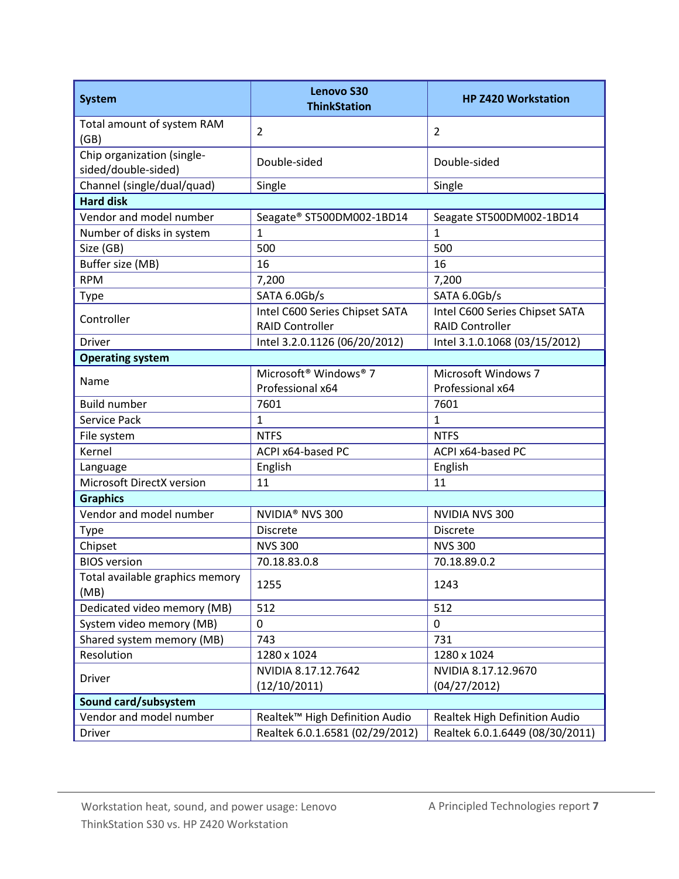| <b>System</b>                                     | <b>Lenovo S30</b><br><b>ThinkStation</b>      | <b>HP Z420 Workstation</b>      |  |  |
|---------------------------------------------------|-----------------------------------------------|---------------------------------|--|--|
| Total amount of system RAM<br>(GB)                | $\overline{2}$                                | $\overline{2}$                  |  |  |
| Chip organization (single-<br>sided/double-sided) | Double-sided                                  | Double-sided                    |  |  |
| Channel (single/dual/quad)                        | Single                                        | Single                          |  |  |
| <b>Hard disk</b>                                  |                                               |                                 |  |  |
| Vendor and model number                           | Seagate® ST500DM002-1BD14                     | Seagate ST500DM002-1BD14        |  |  |
| Number of disks in system                         | $\mathbf{1}$                                  | $\overline{1}$                  |  |  |
| Size (GB)                                         | 500                                           | 500                             |  |  |
| Buffer size (MB)                                  | 16                                            | 16                              |  |  |
| <b>RPM</b>                                        | 7,200                                         | 7,200                           |  |  |
| Type                                              | SATA 6.0Gb/s                                  | SATA 6.0Gb/s                    |  |  |
|                                                   | Intel C600 Series Chipset SATA                | Intel C600 Series Chipset SATA  |  |  |
| Controller                                        | <b>RAID Controller</b>                        | <b>RAID Controller</b>          |  |  |
| <b>Driver</b>                                     | Intel 3.2.0.1126 (06/20/2012)                 | Intel 3.1.0.1068 (03/15/2012)   |  |  |
| <b>Operating system</b>                           |                                               |                                 |  |  |
| Name                                              | Microsoft <sup>®</sup> Windows <sup>®</sup> 7 | Microsoft Windows 7             |  |  |
|                                                   | Professional x64                              | Professional x64                |  |  |
| <b>Build number</b>                               | 7601                                          | 7601                            |  |  |
| Service Pack                                      | $\mathbf{1}$                                  | $\mathbf{1}$                    |  |  |
| File system                                       | <b>NTFS</b>                                   | <b>NTFS</b>                     |  |  |
| Kernel                                            | ACPI x64-based PC                             | ACPI x64-based PC               |  |  |
| Language                                          | English                                       | English                         |  |  |
| Microsoft DirectX version                         | 11                                            | 11                              |  |  |
| <b>Graphics</b>                                   |                                               |                                 |  |  |
| Vendor and model number                           | NVIDIA <sup>®</sup> NVS 300                   | NVIDIA NVS 300                  |  |  |
| Type                                              | <b>Discrete</b>                               | <b>Discrete</b>                 |  |  |
| Chipset                                           | <b>NVS 300</b>                                | <b>NVS 300</b>                  |  |  |
| <b>BIOS</b> version                               | 70.18.83.0.8                                  | 70.18.89.0.2                    |  |  |
| Total available graphics memory<br>(MB)           | 1255                                          | 1243                            |  |  |
| Dedicated video memory (MB)                       | 512                                           | 512                             |  |  |
| System video memory (MB)                          | $\mathbf 0$                                   | 0                               |  |  |
| Shared system memory (MB)                         | 743                                           | 731                             |  |  |
| Resolution                                        | 1280 x 1024                                   | 1280 x 1024                     |  |  |
|                                                   | NVIDIA 8.17.12.7642                           | NVIDIA 8.17.12.9670             |  |  |
| <b>Driver</b>                                     | (12/10/2011)                                  | (04/27/2012)                    |  |  |
| Sound card/subsystem                              |                                               |                                 |  |  |
| Vendor and model number                           | Realtek™ High Definition Audio                | Realtek High Definition Audio   |  |  |
| <b>Driver</b>                                     | Realtek 6.0.1.6581 (02/29/2012)               | Realtek 6.0.1.6449 (08/30/2011) |  |  |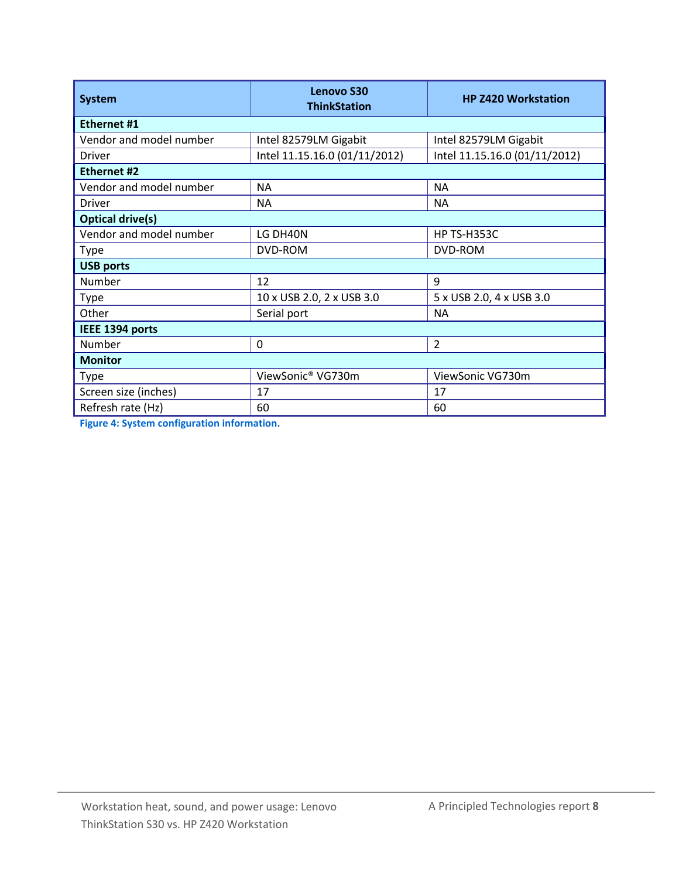| <b>System</b>           | <b>Lenovo S30</b><br><b>ThinkStation</b> | <b>HP Z420 Workstation</b>    |  |  |  |
|-------------------------|------------------------------------------|-------------------------------|--|--|--|
| <b>Ethernet #1</b>      |                                          |                               |  |  |  |
| Vendor and model number | Intel 82579LM Gigabit                    | Intel 82579LM Gigabit         |  |  |  |
| Driver                  | Intel 11.15.16.0 (01/11/2012)            | Intel 11.15.16.0 (01/11/2012) |  |  |  |
| Ethernet #2             |                                          |                               |  |  |  |
| Vendor and model number | <b>NA</b>                                | <b>NA</b>                     |  |  |  |
| Driver                  | <b>NA</b>                                | <b>NA</b>                     |  |  |  |
| <b>Optical drive(s)</b> |                                          |                               |  |  |  |
| Vendor and model number | LG DH40N                                 | HP TS-H353C                   |  |  |  |
| <b>Type</b>             | DVD-ROM                                  | DVD-ROM                       |  |  |  |
| <b>USB ports</b>        |                                          |                               |  |  |  |
| Number                  | 12                                       | 9                             |  |  |  |
| <b>Type</b>             | 10 x USB 2.0, 2 x USB 3.0                | 5 x USB 2.0, 4 x USB 3.0      |  |  |  |
| Other                   | Serial port                              | <b>NA</b>                     |  |  |  |
| IEEE 1394 ports         |                                          |                               |  |  |  |
| Number                  | 0                                        | $\overline{2}$                |  |  |  |
| <b>Monitor</b>          |                                          |                               |  |  |  |
| <b>Type</b>             | ViewSonic® VG730m                        | ViewSonic VG730m              |  |  |  |
| Screen size (inches)    | 17                                       | 17                            |  |  |  |
| Refresh rate (Hz)       | 60                                       | 60                            |  |  |  |

**Figure 4: System configuration information.**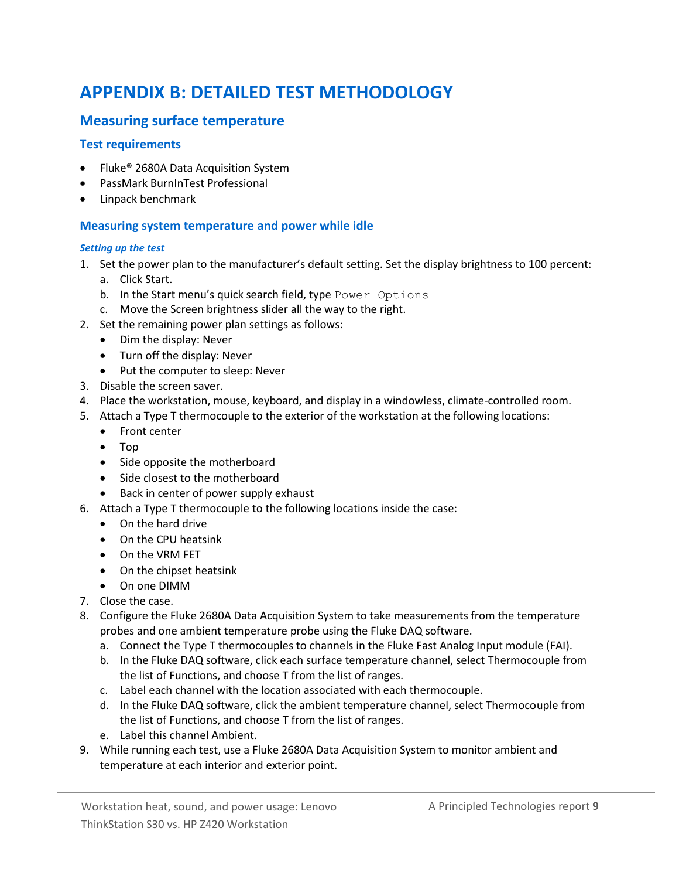# <span id="page-8-0"></span>**APPENDIX B: DETAILED TEST METHODOLOGY**

### **Measuring surface temperature**

#### **Test requirements**

- Fluke<sup>®</sup> 2680A Data Acquisition System
- PassMark BurnInTest Professional
- Linpack benchmark

#### **Measuring system temperature and power while idle**

#### *Setting up the test*

- 1. Set the power plan to the manufacturer's default setting. Set the display brightness to 100 percent:
	- a. Click Start.
	- b. In the Start menu's quick search field, type Power Options
	- c. Move the Screen brightness slider all the way to the right.
- 2. Set the remaining power plan settings as follows:
	- Dim the display: Never
	- Turn off the display: Never
	- Put the computer to sleep: Never
- 3. Disable the screen saver.
- 4. Place the workstation, mouse, keyboard, and display in a windowless, climate-controlled room.
- 5. Attach a Type T thermocouple to the exterior of the workstation at the following locations:
	- Front center
	- Top
	- Side opposite the motherboard
	- Side closest to the motherboard
	- Back in center of power supply exhaust
- 6. Attach a Type T thermocouple to the following locations inside the case:
	- On the hard drive
	- On the CPU heatsink
	- On the VRM FET
	- On the chipset heatsink
	- On one DIMM
- 7. Close the case.
- 8. Configure the Fluke 2680A Data Acquisition System to take measurements from the temperature probes and one ambient temperature probe using the Fluke DAQ software.
	- a. Connect the Type T thermocouples to channels in the Fluke Fast Analog Input module (FAI).
	- b. In the Fluke DAQ software, click each surface temperature channel, select Thermocouple from the list of Functions, and choose T from the list of ranges.
	- c. Label each channel with the location associated with each thermocouple.
	- d. In the Fluke DAQ software, click the ambient temperature channel, select Thermocouple from the list of Functions, and choose T from the list of ranges.
	- e. Label this channel Ambient.
- 9. While running each test, use a Fluke 2680A Data Acquisition System to monitor ambient and temperature at each interior and exterior point.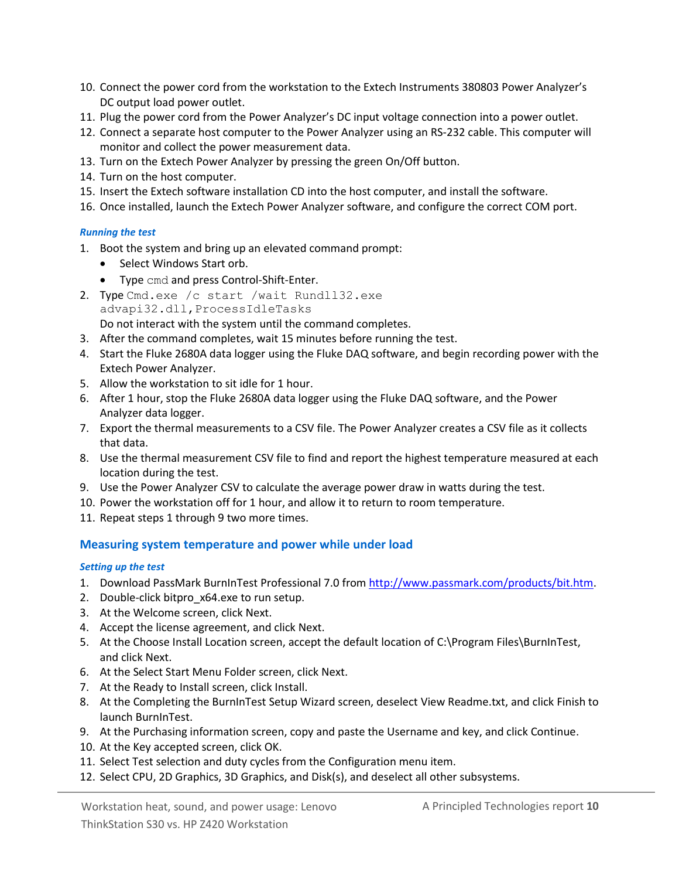- 10. Connect the power cord from the workstation to the Extech Instruments 380803 Power Analyzer's DC output load power outlet.
- 11. Plug the power cord from the Power Analyzer's DC input voltage connection into a power outlet.
- 12. Connect a separate host computer to the Power Analyzer using an RS-232 cable. This computer will monitor and collect the power measurement data.
- 13. Turn on the Extech Power Analyzer by pressing the green On/Off button.
- 14. Turn on the host computer.
- 15. Insert the Extech software installation CD into the host computer, and install the software.
- 16. Once installed, launch the Extech Power Analyzer software, and configure the correct COM port.

#### *Running the test*

- 1. Boot the system and bring up an elevated command prompt:
	- Select Windows Start orb.
	- Type cmd and press Control-Shift-Enter.
- 2. Type Cmd.exe /c start /wait Rundll32.exe advapi32.dll,ProcessIdleTasks Do not interact with the system until the command completes.
- 3. After the command completes, wait 15 minutes before running the test.
- 4. Start the Fluke 2680A data logger using the Fluke DAQ software, and begin recording power with the Extech Power Analyzer.
- 5. Allow the workstation to sit idle for 1 hour.
- 6. After 1 hour, stop the Fluke 2680A data logger using the Fluke DAQ software, and the Power Analyzer data logger.
- 7. Export the thermal measurements to a CSV file. The Power Analyzer creates a CSV file as it collects that data.
- 8. Use the thermal measurement CSV file to find and report the highest temperature measured at each location during the test.
- 9. Use the Power Analyzer CSV to calculate the average power draw in watts during the test.
- 10. Power the workstation off for 1 hour, and allow it to return to room temperature.
- 11. Repeat steps 1 through 9 two more times.

#### **Measuring system temperature and power while under load**

#### *Setting up the test*

- 1. Download PassMark BurnInTest Professional 7.0 fro[m http://www.passmark.com/products/bit.htm.](http://www.passmark.com/products/bit.htm)
- 2. Double-click bitpro\_x64.exe to run setup.
- 3. At the Welcome screen, click Next.
- 4. Accept the license agreement, and click Next.
- 5. At the Choose Install Location screen, accept the default location of C:\Program Files\BurnInTest, and click Next.
- 6. At the Select Start Menu Folder screen, click Next.
- 7. At the Ready to Install screen, click Install.
- 8. At the Completing the BurnInTest Setup Wizard screen, deselect View Readme.txt, and click Finish to launch BurnInTest.
- 9. At the Purchasing information screen, copy and paste the Username and key, and click Continue.
- 10. At the Key accepted screen, click OK.
- 11. Select Test selection and duty cycles from the Configuration menu item.
- 12. Select CPU, 2D Graphics, 3D Graphics, and Disk(s), and deselect all other subsystems.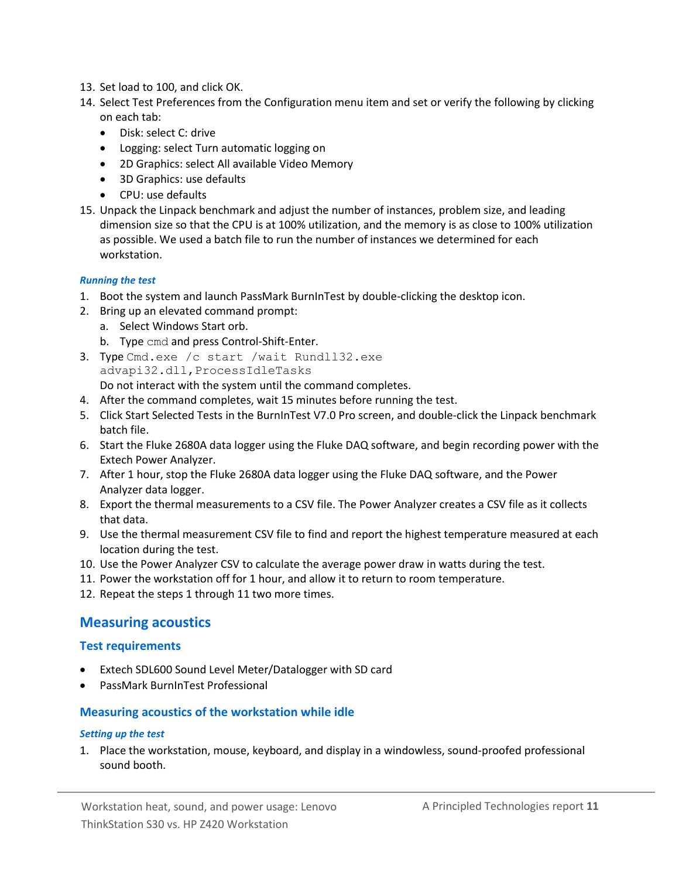- 13. Set load to 100, and click OK.
- 14. Select Test Preferences from the Configuration menu item and set or verify the following by clicking on each tab:
	- Disk: select C: drive
	- Logging: select Turn automatic logging on
	- 2D Graphics: select All available Video Memory
	- 3D Graphics: use defaults
	- CPU: use defaults
- 15. Unpack the Linpack benchmark and adjust the number of instances, problem size, and leading dimension size so that the CPU is at 100% utilization, and the memory is as close to 100% utilization as possible. We used a batch file to run the number of instances we determined for each workstation.

#### *Running the test*

- 1. Boot the system and launch PassMark BurnInTest by double-clicking the desktop icon.
- 2. Bring up an elevated command prompt:
	- a. Select Windows Start orb.
	- b. Type cmd and press Control-Shift-Enter.
- 3. Type Cmd.exe /c start /wait Rundll32.exe advapi32.dll,ProcessIdleTasks Do not interact with the system until the command completes.
- 4. After the command completes, wait 15 minutes before running the test.
- 5. Click Start Selected Tests in the BurnInTest V7.0 Pro screen, and double-click the Linpack benchmark batch file.
- 6. Start the Fluke 2680A data logger using the Fluke DAQ software, and begin recording power with the Extech Power Analyzer.
- 7. After 1 hour, stop the Fluke 2680A data logger using the Fluke DAQ software, and the Power Analyzer data logger.
- 8. Export the thermal measurements to a CSV file. The Power Analyzer creates a CSV file as it collects that data.
- 9. Use the thermal measurement CSV file to find and report the highest temperature measured at each location during the test.
- 10. Use the Power Analyzer CSV to calculate the average power draw in watts during the test.
- 11. Power the workstation off for 1 hour, and allow it to return to room temperature.
- 12. Repeat the steps 1 through 11 two more times.

### **Measuring acoustics**

#### **Test requirements**

- Extech SDL600 Sound Level Meter/Datalogger with SD card
- PassMark BurnInTest Professional

#### **Measuring acoustics of the workstation while idle**

#### *Setting up the test*

1. Place the workstation, mouse, keyboard, and display in a windowless, sound-proofed professional sound booth.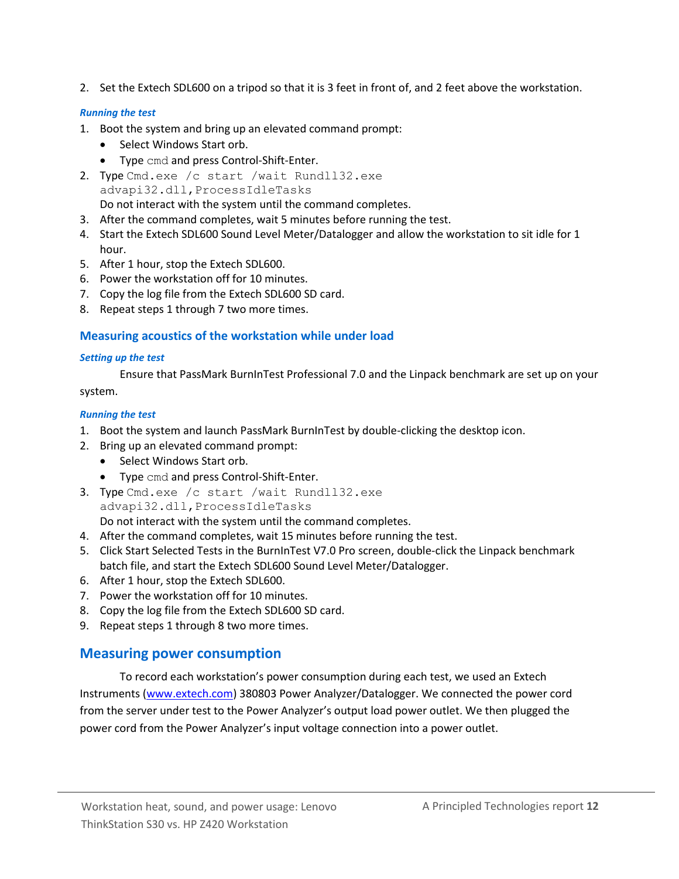2. Set the Extech SDL600 on a tripod so that it is 3 feet in front of, and 2 feet above the workstation.

#### *Running the test*

- 1. Boot the system and bring up an elevated command prompt:
	- Select Windows Start orb.
	- Type cmd and press Control-Shift-Enter.
- 2. Type Cmd.exe /c start /wait Rundll32.exe advapi32.dll,ProcessIdleTasks Do not interact with the system until the command completes.
- 3. After the command completes, wait 5 minutes before running the test.
- 4. Start the Extech SDL600 Sound Level Meter/Datalogger and allow the workstation to sit idle for 1 hour.
- 5. After 1 hour, stop the Extech SDL600.
- 6. Power the workstation off for 10 minutes.
- 7. Copy the log file from the Extech SDL600 SD card.
- 8. Repeat steps 1 through 7 two more times.

### **Measuring acoustics of the workstation while under load**

#### *Setting up the test*

Ensure that PassMark BurnInTest Professional 7.0 and the Linpack benchmark are set up on your system.

#### *Running the test*

- 1. Boot the system and launch PassMark BurnInTest by double-clicking the desktop icon.
- 2. Bring up an elevated command prompt:
	- Select Windows Start orb.
	- Type cmd and press Control-Shift-Enter.
- 3. Type Cmd.exe /c start /wait Rundll32.exe advapi32.dll,ProcessIdleTasks Do not interact with the system until the command completes.
- 4. After the command completes, wait 15 minutes before running the test.
- 5. Click Start Selected Tests in the BurnInTest V7.0 Pro screen, double-click the Linpack benchmark batch file, and start the Extech SDL600 Sound Level Meter/Datalogger.
- 6. After 1 hour, stop the Extech SDL600.
- 7. Power the workstation off for 10 minutes.
- 8. Copy the log file from the Extech SDL600 SD card.
- 9. Repeat steps 1 through 8 two more times.

### **Measuring power consumption**

To record each workstation's power consumption during each test, we used an Extech Instruments [\(www.extech.com\)](http://www.extech.com/) 380803 Power Analyzer/Datalogger. We connected the power cord from the server under test to the Power Analyzer's output load power outlet. We then plugged the power cord from the Power Analyzer's input voltage connection into a power outlet.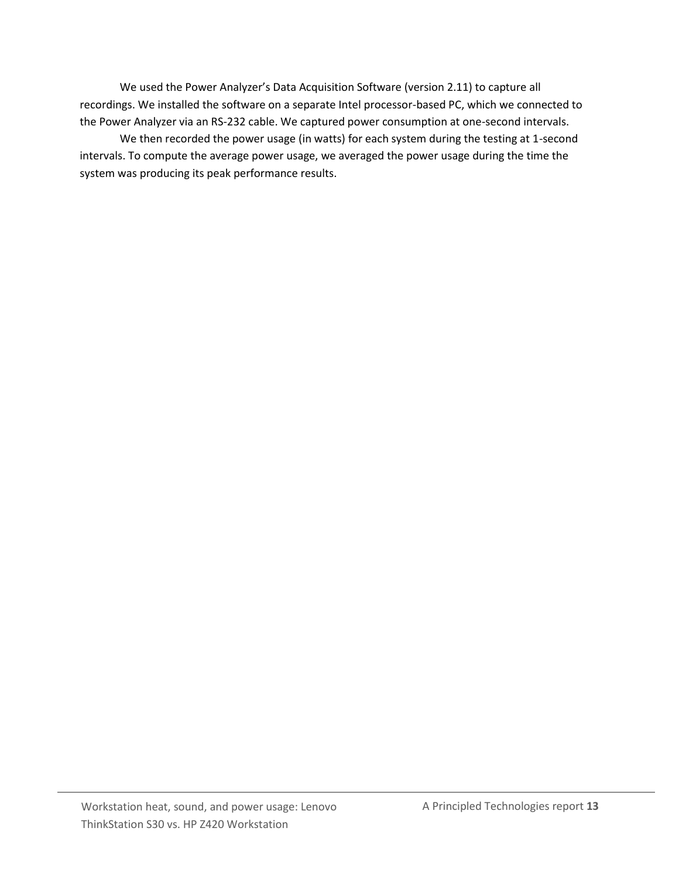We used the Power Analyzer's Data Acquisition Software (version 2.11) to capture all recordings. We installed the software on a separate Intel processor-based PC, which we connected to the Power Analyzer via an RS-232 cable. We captured power consumption at one-second intervals.

We then recorded the power usage (in watts) for each system during the testing at 1-second intervals. To compute the average power usage, we averaged the power usage during the time the system was producing its peak performance results.